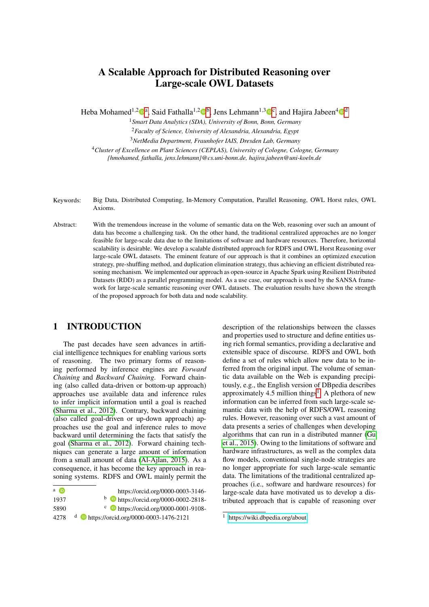# <span id="page-0-0"></span>A Scalable Approach for Distributed Reasoning over Large-scale OWL Datasets

Heba Mohamed<sup>1,2</sup> $\mathbb{D}^a$ , Said Fathalla<sup>1,2</sup> $\mathbb{D}^b$ , Jens Lehmann<sup>1,3</sup> $\mathbb{D}^c$ , and Hajira Jabeen<sup>4</sup> $\mathbb{D}^d$ 

<sup>1</sup>*Smart Data Analytics (SDA), University of Bonn, Bonn, Germany* <sup>2</sup>*Faculty of Science, University of Alexandria, Alexandria, Egypt* <sup>3</sup>*NetMedia Department, Fraunhofer IAIS, Dresden Lab, Germany*

<sup>4</sup>*Cluster of Excellence on Plant Sciences (CEPLAS), University of Cologne, Cologne, Germany {hmohamed, fathalla, jens.lehmann}@cs.uni-bonn.de, hajira.jabeen@uni-koeln.de*

- Keywords: Big Data, Distributed Computing, In-Memory Computation, Parallel Reasoning, OWL Horst rules, OWL Axioms.
- Abstract: With the tremendous increase in the volume of semantic data on the Web, reasoning over such an amount of data has become a challenging task. On the other hand, the traditional centralized approaches are no longer feasible for large-scale data due to the limitations of software and hardware resources. Therefore, horizontal scalability is desirable. We develop a scalable distributed approach for RDFS and OWL Horst Reasoning over large-scale OWL datasets. The eminent feature of our approach is that it combines an optimized execution strategy, pre-shuffling method, and duplication elimination strategy, thus achieving an efficient distributed reasoning mechanism. We implemented our approach as open-source in Apache Spark using Resilient Distributed Datasets (RDD) as a parallel programming model. As a use case, our approach is used by the SANSA framework for large-scale semantic reasoning over OWL datasets. The evaluation results have shown the strength of the proposed approach for both data and node scalability.

## 1 INTRODUCTION

The past decades have seen advances in artificial intelligence techniques for enabling various sorts of reasoning. The two primary forms of reasoning performed by inference engines are *Forward Chaining* and *Backward Chaining*. Forward chaining (also called data-driven or bottom-up approach) approaches use available data and inference rules to infer implicit information until a goal is reached [\(Sharma et al., 2012\)](#page-9-0). Contrary, backward chaining (also called goal-driven or up-down approach) approaches use the goal and inference rules to move backward until determining the facts that satisfy the goal [\(Sharma et al., 2012\)](#page-9-0). Forward chaining techniques can generate a large amount of information from a small amount of data [\(Al-Ajlan, 2015\)](#page-9-1). As a consequence, it has become the key approach in reasoning systems. RDFS and OWL mainly permit the

| $a$ ( $\overline{D}$ ) | https://orcid.org/0000-0003-3146-                  |
|------------------------|----------------------------------------------------|
| 1937                   | $\bullet$ https://orcid.org/0000-0002-2818-        |
| 5890                   | $\cdot$ b https://orcid.org/0000-0001-9108-        |
| 42.78                  | <sup>d</sup> bttps://orcid.org/0000-0003-1476-2121 |

description of the relationships between the classes and properties used to structure and define entities using rich formal semantics, providing a declarative and extensible space of discourse. RDFS and OWL both define a set of rules which allow new data to be inferred from the original input. The volume of semantic data available on the Web is expanding precipitously, e.g., the English version of DBpedia describes approximately 4.5 million things<sup>1</sup>. A plethora of new information can be inferred from such large-scale semantic data with the help of RDFS/OWL reasoning rules. However, reasoning over such a vast amount of data presents a series of challenges when developing algorithms that can run in a distributed manner [\(Gu](#page-9-2) [et al., 2015\)](#page-9-2). Owing to the limitations of software and hardware infrastructures, as well as the complex data flow models, conventional single-node strategies are no longer appropriate for such large-scale semantic data. The limitations of the traditional centralized approaches (i.e., software and hardware resources) for large-scale data have motivated us to develop a distributed approach that is capable of reasoning over

 $\frac{1}{1}$  [https://wiki.dbpedia.org/about]( https://wiki.dbpedia.org/about )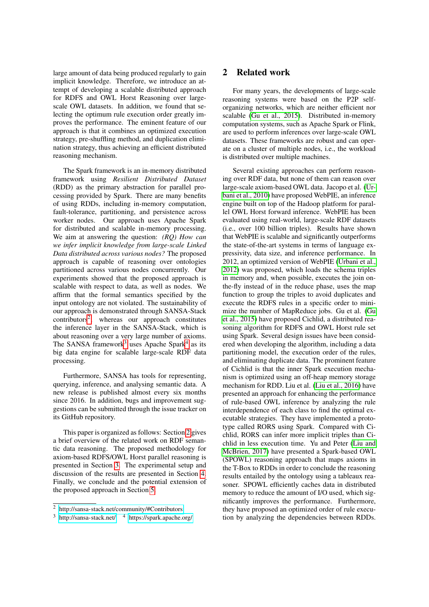large amount of data being produced regularly to gain implicit knowledge. Therefore, we introduce an attempt of developing a scalable distributed approach for RDFS and OWL Horst Reasoning over largescale OWL datasets. In addition, we found that selecting the optimum rule execution order greatly improves the performance. The eminent feature of our approach is that it combines an optimized execution strategy, pre-shuffling method, and duplication elimination strategy, thus achieving an efficient distributed reasoning mechanism.

The Spark framework is an in-memory distributed framework using *Resilient Distributed Dataset* (RDD) as the primary abstraction for parallel processing provided by Spark. There are many benefits of using RDDs, including in-memory computation, fault-tolerance, partitioning, and persistence across worker nodes. Our approach uses Apache Spark for distributed and scalable in-memory processing. We aim at answering the question: *(RQ) How can we infer implicit knowledge from large-scale Linked Data distributed across various nodes?* The proposed approach is capable of reasoning over ontologies partitioned across various nodes concurrently. Our experiments showed that the proposed approach is scalable with respect to data, as well as nodes. We affirm that the formal semantics specified by the input ontology are not violated. The sustainability of our approach is demonstrated through SANSA-Stack contributors<sup>[2](#page-0-0)</sup>, whereas our approach constitutes the inference layer in the SANSA-Stack, which is about reasoning over a very large number of axioms. The SANSA framework<sup>[3](#page-0-0)</sup> uses Apache Spark<sup>[4](#page-0-0)</sup> as its big data engine for scalable large-scale RDF data processing.

Furthermore, SANSA has tools for representing, querying, inference, and analysing semantic data. A new release is published almost every six months since 2016. In addition, bugs and improvement suggestions can be submitted through the issue tracker on its GitHub repository.

This paper is organized as follows: Section [2](#page-1-0) gives a brief overview of the related work on RDF semantic data reasoning. The proposed methodology for axiom-based RDFS/OWL Horst parallel reasoning is presented in Section [3.](#page-2-0) The experimental setup and discussion of the results are presented in Section [4.](#page-6-0) Finally, we conclude and the potential extension of the proposed approach in Section [5.](#page-9-3)

### <span id="page-1-0"></span>2 Related work

For many years, the developments of large-scale reasoning systems were based on the P2P selforganizing networks, which are neither efficient nor scalable [\(Gu et al., 2015\)](#page-9-2). Distributed in-memory computation systems, such as Apache Spark or Flink, are used to perform inferences over large-scale OWL datasets. These frameworks are robust and can operate on a cluster of multiple nodes, i.e., the workload is distributed over multiple machines.

Several existing approaches can perform reasoning over RDF data, but none of them can reason over large-scale axiom-based OWL data. Jacopo et al. [\(Ur](#page-9-4)[bani et al., 2010\)](#page-9-4) have proposed WebPIE, an inference engine built on top of the Hadoop platform for parallel OWL Horst forward inference. WebPIE has been evaluated using real-world, large-scale RDF datasets (i.e., over 100 billion triples). Results have shown that WebPIE is scalable and significantly outperforms the state-of-the-art systems in terms of language expressivity, data size, and inference performance. In 2012, an optimized version of WebPIE [\(Urbani et al.,](#page-9-5) [2012\)](#page-9-5) was proposed, which loads the schema triples in memory and, when possible, executes the join onthe-fly instead of in the reduce phase, uses the map function to group the triples to avoid duplicates and execute the RDFS rules in a specific order to minimize the number of MapReduce jobs. Gu et al. [\(Gu](#page-9-2) [et al., 2015\)](#page-9-2) have proposed Cichlid, a distributed reasoning algorithm for RDFS and OWL Horst rule set using Spark. Several design issues have been considered when developing the algorithm, including a data partitioning model, the execution order of the rules, and eliminating duplicate data. The prominent feature of Cichlid is that the inner Spark execution mechanism is optimized using an off-heap memory storage mechanism for RDD. Liu et al. [\(Liu et al., 2016\)](#page-9-6) have presented an approach for enhancing the performance of rule-based OWL inference by analyzing the rule interdependence of each class to find the optimal executable strategies. They have implemented a prototype called RORS using Spark. Compared with Cichlid, RORS can infer more implicit triples than Cichlid in less execution time. Yu and Peter [\(Liu and](#page-9-7) [McBrien, 2017\)](#page-9-7) have presented a Spark-based OWL (SPOWL) reasoning approach that maps axioms in the T-Box to RDDs in order to conclude the reasoning results entailed by the ontology using a tableaux reasoner. SPOWL efficiently caches data in distributed memory to reduce the amount of I/O used, which significantly improves the performance. Furthermore, they have proposed an optimized order of rule execution by analyzing the dependencies between RDDs.

<sup>2</sup> <http://sansa-stack.net/community/#Contributors>

 $\frac{3 \text{ http://sansa-stack.net/}}{4 \text{ https://spark.apache.org/}}$  $\frac{3 \text{ http://sansa-stack.net/}}{4 \text{ https://spark.apache.org/}}$  $\frac{3 \text{ http://sansa-stack.net/}}{4 \text{ https://spark.apache.org/}}$  $\frac{3 \text{ http://sansa-stack.net/}}{4 \text{ https://spark.apache.org/}}$  $\frac{3 \text{ http://sansa-stack.net/}}{4 \text{ https://spark.apache.org/}}$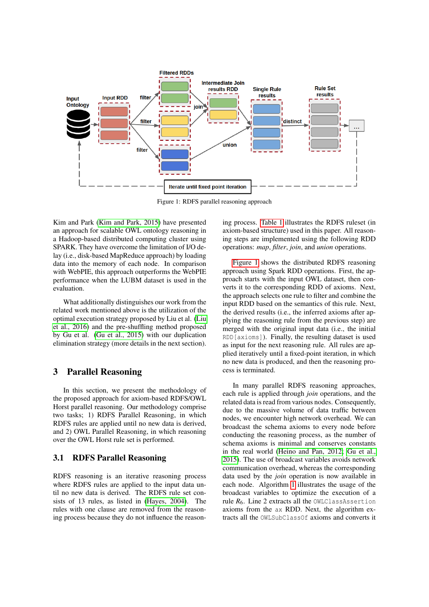<span id="page-2-1"></span>

Figure 1: RDFS parallel reasoning approach

Kim and Park [\(Kim and Park, 2015\)](#page-9-8) have presented an approach for scalable OWL ontology reasoning in a Hadoop-based distributed computing cluster using SPARK. They have overcome the limitation of I/O delay (i.e., disk-based MapReduce approach) by loading data into the memory of each node. In comparison with WebPIE, this approach outperforms the WebPIE performance when the LUBM dataset is used in the evaluation.

What additionally distinguishes our work from the related work mentioned above is the utilization of the optimal execution strategy proposed by Liu et al. [\(Liu](#page-9-6) [et al., 2016\)](#page-9-6) and the pre-shuffling method proposed by Gu et al. [\(Gu et al., 2015\)](#page-9-2) with our duplication elimination strategy (more details in the next section).

### <span id="page-2-0"></span>3 Parallel Reasoning

In this section, we present the methodology of the proposed approach for axiom-based RDFS/OWL Horst parallel reasoning. Our methodology comprise two tasks; 1) RDFS Parallel Reasoning, in which RDFS rules are applied until no new data is derived, and 2) OWL Parallel Reasoning, in which reasoning over the OWL Horst rule set is performed.

### 3.1 RDFS Parallel Reasoning

RDFS reasoning is an iterative reasoning process where RDFS rules are applied to the input data until no new data is derived. The RDFS rule set consists of 13 rules, as listed in [\(Hayes, 2004\)](#page-9-9). The rules with one clause are removed from the reasoning process because they do not influence the reasoning process. [Table 1](#page-3-0) illustrates the RDFS ruleset (in axiom-based structure) used in this paper. All reasoning steps are implemented using the following RDD operations: *map*, *filter*, *join*, and *union* operations.

[Figure 1](#page-2-1) shows the distributed RDFS reasoning approach using Spark RDD operations. First, the approach starts with the input OWL dataset, then converts it to the corresponding RDD of axioms. Next, the approach selects one rule to filter and combine the input RDD based on the semantics of this rule. Next, the derived results (i.e., the inferred axioms after applying the reasoning rule from the previous step) are merged with the original input data (i.e., the initial RDD[axioms]). Finally, the resulting dataset is used as input for the next reasoning rule. All rules are applied iteratively until a fixed-point iteration, in which no new data is produced, and then the reasoning process is terminated.

In many parallel RDFS reasoning approaches, each rule is applied through *join* operations, and the related data is read from various nodes. Consequently, due to the massive volume of data traffic between nodes, we encounter high network overhead. We can broadcast the schema axioms to every node before conducting the reasoning process, as the number of schema axioms is minimal and conserves constants in the real world [\(Heino and Pan, 2012;](#page-9-10) [Gu et al.,](#page-9-2) [2015\)](#page-9-2). The use of broadcast variables avoids network communication overhead, whereas the corresponding data used by the *join* operation is now available in each node. Algorithm [1](#page-3-1) illustrates the usage of the broadcast variables to optimize the execution of a rule  $R_6$ . Line 2 extracts all the OWLClassAssertion axioms from the ax RDD. Next, the algorithm extracts all the OWLSubClassOf axioms and converts it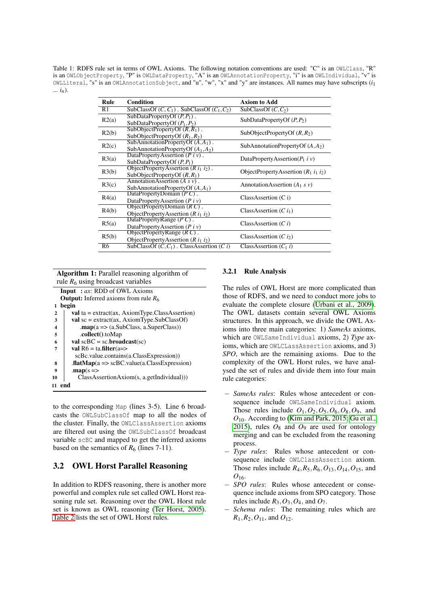<span id="page-3-0"></span>Table 1: RDFS rule set in terms of OWL Axioms. The following notation conventions are used: "C" is an OWLClass, "R" is an OWLObjectProperty, "P" is OWLDataProperty, "A" is an OWLAnnotationProperty, "i" is an OWLIndividual, "v" is OWLLiteral, "s" is an OWLAnnotationSubject, and "u", "w", "x" and "y" are instances. All names may have subscripts (*i*<sup>1</sup> ... *in*).

| Rule  | <b>Condition</b>                                                             | <b>Axiom to Add</b>                     |
|-------|------------------------------------------------------------------------------|-----------------------------------------|
| R1    | SubClassOf $(C, C_1)$ . SubClassOf $(C_1, C_2)$                              | SubClassOf $(C, C_2)$                   |
| R2(a) | SubDataPropertyOf $(P, P_1)$ .<br>SubDataPropertyOf $(P_1, P_2)$             | SubDataPropertyOf $(P, P_2)$            |
| R2(b) | SubObjectPropertyOf $(R, R_1)$ .<br>SubObjectPropertyOf $(R_1, R_2)$         | SubObjectPropertyOf $(R, R_2)$          |
| R2(c) | SubAnnotationPropertyOf $(A, A_1)$ .<br>SubAnnotationPropertyOf $(A_1, A_2)$ | SubAnnotationPropertyOf $(A, A2)$       |
| R3(a) | DataPropertyAssertion $(P_i \nu)$ .<br>SubDataPropertyOf $(P, P_1)$          | DataPropertyAssertion( $P_1$ i v)       |
| R3(b) | ObjectPropertyAssertion $(R i_1 i_2)$ .<br>SubObjectPropertyOf $(R, R_1)$    | ObjectPropertyAssertion $(R_1 i_1 i_2)$ |
| R3(c) | Annotation Assertion $(A \, s \, v)$ .<br>SubAnnotationPropertyOf $(A, A1)$  | AnnotationAssertion $(A_1 s v)$         |
| R4(a) | DataPropertyDomain $(P C)$ .<br>DataPropertyAssertion $(P_i v)$              | ClassAssociation (C i)                  |
| R4(b) | ObjectPropertyDomain $(R C)$ .<br>ObjectPropertyAssertion $(R i_1 i_2)$      | ClassAssertion $(C i_1)$                |
| R5(a) | DataPropertyRange $(PC)$ .<br>DataPropertyAssertion $(P i v)$                | ClassAssertion $(C_i)$                  |
| R5(b) | ObjectPropertyRange $(R C)$ .<br>ObjectPropertyAssertion $(R i_1 i_2)$       | ClassAssertion $(Ci)$                   |
| R6    | SubClassOf $(C, C_1)$ . ClassAssertion $(C, i)$                              | ClassAssertion $(C_1 i)$                |

Algorithm 1: Parallel reasoning algorithm of rule  $R_6$  using broadcast variables Input : *ax*: RDD of OWL Axioms

<span id="page-3-1"></span>

|              | $\mathbf{H}$                                                                       |  |  |  |
|--------------|------------------------------------------------------------------------------------|--|--|--|
|              | <b>Output:</b> Inferred axioms from rule $R_6$                                     |  |  |  |
| 1            | begin                                                                              |  |  |  |
| $\mathbf{2}$ | <b>val</b> ta = $ext{text}(ax, AxiomType.Classis)$                                 |  |  |  |
| 3            | $val$ sc = extract(ax, AxiomType.SubClassOf)                                       |  |  |  |
| 4            | $\text{map}(a \Rightarrow (a.\text{SubClass}, a.\text{SuperClass}))$               |  |  |  |
| 5            | .collect().toMap                                                                   |  |  |  |
| 6            | val $scBC = sc.broadcast(sc)$                                                      |  |  |  |
| 7            | val $R6 = \text{ta.fiter}(a = >$                                                   |  |  |  |
|              | scBc.value.contains(a.ClassExpression))                                            |  |  |  |
| 8            | $\text{iflatMap}(a \Rightarrow \text{scBC}.\text{value}(a.\text{ClassExpression})$ |  |  |  |
| 9            | $\mathbf{map}(s \Rightarrow$                                                       |  |  |  |
| 10           | ClassAssertionAxiom(s, a.getIndividual))                                           |  |  |  |
| 11           | end                                                                                |  |  |  |

to the corresponding Map (lines 3-5). Line 6 broadcasts the OWLSubClassOf map to all the nodes of the cluster. Finally, the OWLClassAssertion axioms are filtered out using the OWLSubClassOf broadcast variable scBC and mapped to get the inferred axioms based on the semantics of  $R_6$  (lines 7-11).

### 3.2 OWL Horst Parallel Reasoning

In addition to RDFS reasoning, there is another more powerful and complex rule set called OWL Horst reasoning rule set. Reasoning over the OWL Horst rule set is known as OWL reasoning [\(Ter Horst, 2005\)](#page-9-11). [Table 2](#page-4-0) lists the set of OWL Horst rules.

#### 3.2.1 Rule Analysis

The rules of OWL Horst are more complicated than those of RDFS, and we need to conduct more jobs to evaluate the complete closure [\(Urbani et al., 2009\)](#page-9-12). The OWL datasets contain several OWL Axioms structures. In this approach, we divide the OWL Axioms into three main categories: 1) *SameAs* axioms, which are OWLSameIndividual axioms, 2) *Type* axioms, which are OWLCLassAssertion axioms, and 3) *SPO*, which are the remaining axioms. Due to the complexity of the OWL Horst rules, we have analysed the set of rules and divide them into four main rule categories:

- − *SameAs rules*: Rules whose antecedent or consequence include OWLSameIndividual axiom. Those rules include  $O_1$ ,  $O_2$ ,  $O_5$ ,  $O_6$ ,  $O_8$ ,  $O_9$ , and *O*10. According to [\(Kim and Park, 2015;](#page-9-8) [Gu et al.,](#page-9-2) [2015\)](#page-9-2), rules  $O_8$  and  $O_9$  are used for ontology merging and can be excluded from the reasoning process.
- Type rules: Rules whose antecedent or consequence include OWLClassAssertion axiom. Those rules include  $R_4, R_5, R_6, O_{13}, O_{14}, O_{15}$ , and  $O_{16}$ .
- − *SPO rules*: Rules whose antecedent or consequence include axioms from SPO category. Those rules include  $R_3$ ,  $O_3$ ,  $O_4$ , and  $O_7$ .
- Schema rules: The remaining rules which are  $R_1, R_2, O_{11}$ , and  $O_{12}$ .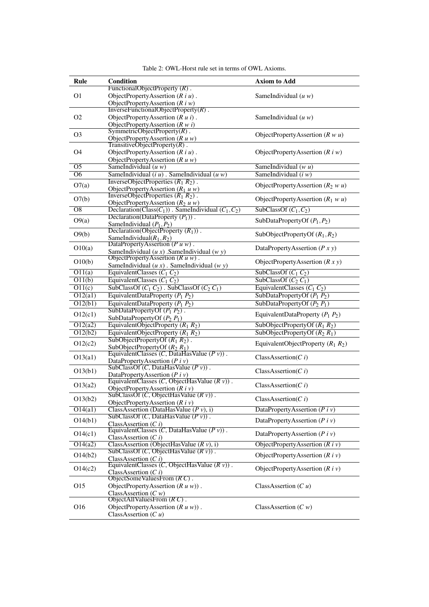<span id="page-4-0"></span>

| Rule                 | Condition                                                                           | <b>Axiom to Add</b>                   |
|----------------------|-------------------------------------------------------------------------------------|---------------------------------------|
| O <sub>1</sub>       | FunctionalObjectProperty $(R)$ .                                                    |                                       |
|                      | ObjectPropertyAssertion $(R i u)$ .                                                 | SameIndividual $(u w)$                |
|                      | ObjectPropertyAssertion $(R\,i\,w)$                                                 |                                       |
|                      | InverseFunctionalObjectProperty $(R)$ .                                             |                                       |
| O <sub>2</sub>       | ObjectPropertyAssertion $(R u i)$ .                                                 | SameIndividual $(u w)$                |
|                      | ObjectPropertyAssertion $(R w i)$<br>SymmetricObjectProperty $(R)$ .                |                                       |
| O <sub>3</sub>       | ObjectPropertyAssertion $(R u w)$                                                   | ObjectPropertyAssertion $(R w u)$     |
|                      | TransitiveObjectProperty $(R)$ .                                                    |                                       |
| O4                   | ObjectPropertyAssertion $(R i u)$ .                                                 | ObjectPropertyAssertion $(R\,i\,w)$   |
|                      | ObjectPropertyAssertion $(R u w)$                                                   |                                       |
| $\overline{O5}$      | SameIndividual $(u w)$                                                              | SameIndividual $(w u)$                |
| O6                   | SameIndividual $(iu)$ . SameIndividual $(uw)$                                       | SameIndividual $(i w)$                |
|                      | InverseObjectProperties $(R_1 R_2)$ .                                               |                                       |
| O7(a)                |                                                                                     | ObjectPropertyAssertion $(R_2 w u)$   |
| O7(b)                | ObjectPropertyAssertion $(R_1 u w)$<br>InverseObjectProperties $(R_1 R_2)$ .        | ObjectPropertyAssertion $(R_1 w u)$   |
|                      | ObjectPropertyAssertion $(R_2 u w)$                                                 |                                       |
| $\overline{OS}$      | Declaration(Class( $C_1$ )). SameIndividual ( $C_1$ , $C_2$ )                       | SubClassOf $(C_1, C_2)$               |
| O9(a)                | Declaration(DataProperty $(P_1)$ ).                                                 | SubDataPropertyOf $(P_1, P_2)$        |
|                      | SameIndividual $(P_1, P_2)$                                                         |                                       |
| O(9b)                | Declaration(ObjectProperty $(R_1)$ ).                                               | SubObjectPropertyOf $(R_1, R_2)$      |
|                      | SameIndividual $(R_1, R_2)$<br>DataPropertyAssertion $(P u w)$ .                    |                                       |
| O10(a)               | SameIndividual $(u x)$ . SameIndividual $(w y)$                                     | DataPropertyAssertion $(P x y)$       |
|                      | ObjectPropertyAssertion $(R u w)$ .                                                 |                                       |
| O10(b)               | SameIndividual $(u x)$ . SameIndividual $(w y)$                                     | ObjectPropertyAssertion $(R x y)$     |
| O11(a)               | EquivalentClasses $(C_1 C_2)$                                                       | SubClassOf $(C_1 C_2)$                |
| O(11(b))             | EquivalentClasses $(C_1 C_2)$                                                       | SubClassOf $(C_2 C_1)$                |
| $\overline{O11(c)}$  | SubClassOf $(C_1 C_2)$ . SubClassOf $(C_2 C_1)$                                     | EquivalentClasses $(C_1 C_2)$         |
| O12(a1)              | EquivalentDataProperty $(P_1 P_2)$                                                  | SubDataPropertyOf $(P_1 P_2)$         |
| O12(b1)              | EquivalentDataProperty $(P_1 P_2)$                                                  | SubDataPropertyOf $(P_2 P_1)$         |
|                      | SubDataPropertyOf $(P_1 P_2)$ .                                                     |                                       |
| O12(c1)              | SubDataPropertyOf $(P_2 P_1)$                                                       | EquivalentDataProperty $(P_1 P_2)$    |
| O12(a2)              | EquivalentObjectProperty $(R_1 R_2)$                                                | SubObjectPropertyOf $(R_1 R_2)$       |
| O12(b2)              | EquivalentObjectProperty $(R_1 R_2)$                                                | SubObjectPropertyOf $(R_2 R_1)$       |
|                      | SubObjectPropertyOf $(R_1 R_2)$ .                                                   |                                       |
| O12(c2)              | SubObjectPropertyOf $(R_2 R_1)$                                                     | EquivalentObjectProperty $(R_1 R_2)$  |
| O13(a1)              | EquivalentClasses $(C, D \tilde{a} \tilde{t}$ affasValue $(P v)$ .                  | ClassAssociation(C i)                 |
|                      | DataPropertyAssertion ( $P$ i v)                                                    |                                       |
| O13(b1)              | SubClassOf $(C, DataHasValue (P v))$ .                                              | ClassAssertion( $Ci$ )                |
|                      | DataPropertyAssertion ( $P$ i v)<br>EquivalentClasses $(C, ObjectHasValue (R v))$ . |                                       |
| O13(a2)              | ObjectPropertyAssertion $(R\,i\,v)$                                                 | ClassAssociation(C i)                 |
|                      | SubClassOf $(C, ObjectHasValue (R v))$                                              |                                       |
| O(13(b2))            | ObjectPropertyAssertion $(R i v)$                                                   | ClassAssociation(C i)                 |
| $\overline{O14(a1)}$ | ClassAssertion (DataHasValue $(P v), i$ )                                           | DataPropertyAssertion $(Piv)$         |
|                      | SubClassOf $(C, DataHasValue (P v))$ .                                              |                                       |
| O(14(b1))            | ClassAssertion $(C i)$                                                              | DataPropertyAssertion $(P_i \dot{v})$ |
| O14(c1)              | EquivalentClasses $(C, DataHasValue (P v))$ .                                       | DataPropertyAssertion ( $P$ i v)      |
|                      | ClassAssertion $(C i)$                                                              |                                       |
| O14(a2)              | ClassAssertion (ObjectHasValue $(R v)$ , i)                                         | ObjectPropertyAssertion $(R i v)$     |
| O14(b2)              | SubClassOf $(C, ObjectHasValue (R v))$ .                                            | ObjectPropertyAssertion $(R\,i\,v)$   |
| O14(c2)              | ClassAssertion $(C i)$<br>EquivalentClasses $(C, ObjectHasValue (R v))$ .           |                                       |
|                      | ClassAssertion $(C i)$                                                              | ObjectPropertyAssertion $(R\,i\,v)$   |
|                      | ObjectSomeValuesFrom $(R C)$ .                                                      |                                       |
| O15                  | ObjectPropertyAssertion $(R u w)$ .                                                 | ClassAssertion $(C u)$                |
|                      | ClassAssertion $(C w)$                                                              |                                       |
|                      | ObjectAllValuesFrom $(R C)$ .                                                       |                                       |
| O <sub>16</sub>      | ObjectPropertyAssertion $(R u w)$ .                                                 | ClassAssertion $(C w)$                |
|                      | ClassAssertion $(Cu)$                                                               |                                       |

Table 2: OWL-Horst rule set in terms of OWL Axioms.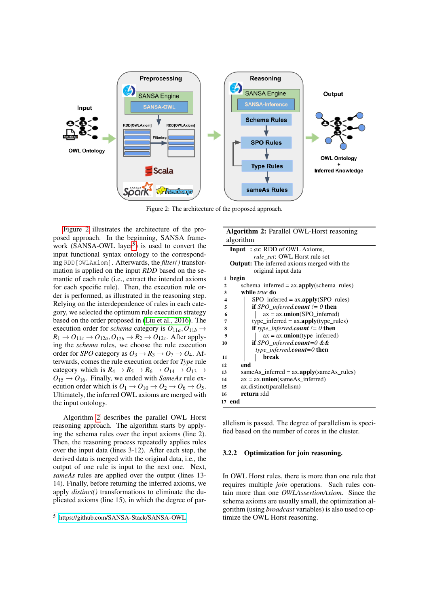<span id="page-5-0"></span>

Figure 2: The architecture of the proposed approach.

[Figure 2](#page-5-0) illustrates the architecture of the proposed approach. In the beginning, SANSA frame-work (SANSA-OWL layer<sup>[5](#page-0-0)</sup>) is used to convert the input functional syntax ontology to the corresponding RDD[OWLAxiom]. Afterwards, the *filter()* transformation is applied on the input *RDD* based on the semantic of each rule (i.e., extract the intended axioms for each specific rule). Then, the execution rule order is performed, as illustrated in the reasoning step. Relying on the interdependence of rules in each category, we selected the optimum rule execution strategy based on the order proposed in [\(Liu et al., 2016\)](#page-9-6). The execution order for *schema* category is  $O_{11a}$ ,  $O_{11b}$   $\rightarrow$  $R_1 \rightarrow O_{11c} \rightarrow O_{12a}$ ,  $O_{12b} \rightarrow R_2 \rightarrow O_{12c}$ . After applying the *schema* rules, we choose the rule execution order for *SPO* category as  $O_3 \rightarrow R_3 \rightarrow O_7 \rightarrow O_4$ . Afterwards, comes the rule execution order for *Type* rule category which is  $R_4 \rightarrow R_5 \rightarrow R_6 \rightarrow O_{14} \rightarrow O_{13} \rightarrow$  $O_{15} \rightarrow O_{16}$ . Finally, we ended with *SameAs* rule execution order which is  $O_1 \rightarrow O_{10} \rightarrow O_2 \rightarrow O_6 \rightarrow O_5$ . Ultimately, the inferred OWL axioms are merged with the input ontology.

Algorithm [2](#page-5-1) describes the parallel OWL Horst reasoning approach. The algorithm starts by applying the schema rules over the input axioms (line 2). Then, the reasoning process repeatedly applies rules over the input data (lines 3-12). After each step, the derived data is merged with the original data, i.e., the output of one rule is input to the next one. Next, *sameAs* rules are applied over the output (lines 13- 14). Finally, before returning the inferred axioms, we apply *distinct()* transformations to eliminate the duplicated axioms (line 15), in which the degree of par-

<span id="page-5-1"></span>Algorithm 2: Parallel OWL-Horst reasoning algorithm Input : *ax*: RDD of OWL Axioms, *rule\_set*: OWL Horst rule set Output: The inferred axioms merged with the original input data 1 begin

| $\overline{2}$ | schema inferred = $ax.\text{apply}(schema rules)$           |  |  |  |
|----------------|-------------------------------------------------------------|--|--|--|
| 3              | while <i>true</i> do                                        |  |  |  |
| 4              | $SPO$ inferred = $ax.$ apply( $SPO$ rules)                  |  |  |  |
| 5              | <b>if</b> SPO_inferred.count $!= 0$ then                    |  |  |  |
| 6              | $ax = ax.$ <b>union</b> (SPO inferred)                      |  |  |  |
| 7              | type_inferred = $ax.$ apply(type_rules)                     |  |  |  |
| 8              | <b>if</b> type inferred.count $\ell = 0$ then               |  |  |  |
| 9              | $ax = ax.$ <b>union</b> (type_inferred)                     |  |  |  |
| 10             | <b>if</b> SPO_inferred.count=0 &&                           |  |  |  |
|                | type inferred.count=0 then                                  |  |  |  |
| 11             | break                                                       |  |  |  |
| 12             | end                                                         |  |  |  |
| 13             | same As inferred = $ax.\text{apply}(same As \text{ rules})$ |  |  |  |
| 14             | $ax = ax.$ <b>union</b> (sameAs inferred)                   |  |  |  |
| 15             | ax.distinct(parallelism)                                    |  |  |  |
| 16             | return rdd                                                  |  |  |  |
| 17             | end                                                         |  |  |  |
|                |                                                             |  |  |  |

allelism is passed. The degree of parallelism is specified based on the number of cores in the cluster.

#### 3.2.2 Optimization for join reasoning.

In OWL Horst rules, there is more than one rule that requires multiple *join* operations. Such rules contain more than one *OWLAssertionAxiom*. Since the schema axioms are usually small, the optimization algorithm (using *broadcast* variables) is also used to optimize the OWL Horst reasoning.

<sup>5</sup> <https://github.com/SANSA-Stack/SANSA-OWL>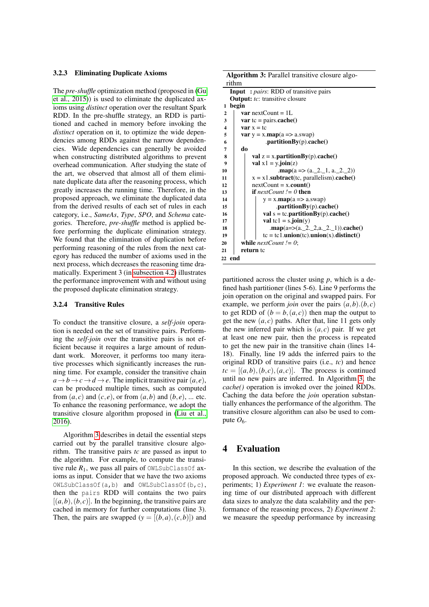#### 3.2.3 Eliminating Duplicate Axioms

The *pre-shuffle* optimization method (proposed in [\(Gu](#page-9-2) [et al., 2015\)](#page-9-2)) is used to eliminate the duplicated axioms using *distinct* operation over the resultant Spark RDD. In the pre-shuffle strategy, an RDD is partitioned and cached in memory before invoking the *distinct* operation on it, to optimize the wide dependencies among RDDs against the narrow dependencies. Wide dependencies can generally be avoided when constructing distributed algorithms to prevent overhead communication. After studying the state of the art, we observed that almost all of them eliminate duplicate data after the reasoning process, which greatly increases the running time. Therefore, in the proposed approach, we eliminate the duplicated data from the derived results of each set of rules in each category, i.e., *SameAs*, *Type*, *SPO*, and *Schema* categories. Therefore, *pre-shuffle* method is applied before performing the duplicate elimination strategy. We found that the elimination of duplication before performing reasoning of the rules from the next category has reduced the number of axioms used in the next process, which decreases the reasoning time dramatically. Experiment 3 (in [subsection 4.2\)](#page-7-0) illustrates the performance improvement with and without using the proposed duplicate elimination strategy.

#### 3.2.4 Transitive Rules

To conduct the transitive closure, a *self-join* operation is needed on the set of transitive pairs. Performing the *self-join* over the transitive pairs is not efficient because it requires a large amount of redundant work. Moreover, it performs too many iterative processes which significantly increases the running time. For example, consider the transitive chain  $a \rightarrow b \rightarrow c \rightarrow d \rightarrow e$ . The implicit transitive pair  $(a, e)$ , can be produced multiple times, such as computed from  $(a, c)$  and  $(c, e)$ , or from  $(a, b)$  and  $(b, e)$ , ... etc. To enhance the reasoning performance, we adopt the transitive closure algorithm proposed in [\(Liu et al.,](#page-9-6) [2016\)](#page-9-6).

Algorithm [3](#page-6-1) describes in detail the essential steps carried out by the parallel transitive closure algorithm. The transitive pairs *tc* are passed as input to the algorithm. For example, to compute the transitive rule  $R_1$ , we pass all pairs of OWLSubClassOf axioms as input. Consider that we have the two axioms OWLSubClassOf(a,b) and OWLSubClassOf(b,c), then the pairs RDD will contains the two pairs  $[(a, b), (b, c)]$ . In the beginning, the transitive pairs are cached in memory for further computations (line 3). Then, the pairs are swapped  $(y = [(b, a), (c, b)])$  and

<span id="page-6-1"></span>

| <b>Algorithm 3:</b> Parallel transitive closure algo- |                                                                        |  |  |  |
|-------------------------------------------------------|------------------------------------------------------------------------|--|--|--|
|                                                       | rithm                                                                  |  |  |  |
|                                                       | <b>Input</b> : <i>pairs</i> : RDD of transitive pairs                  |  |  |  |
|                                                       | <b>Output:</b> tc: transitive closure                                  |  |  |  |
| 1                                                     | begin                                                                  |  |  |  |
| $\overline{2}$                                        | <b>var</b> nextCount = $1L$                                            |  |  |  |
| 3                                                     | var tc = pairs.cache()                                                 |  |  |  |
| $\overline{\mathbf{4}}$                               | $var x = tc$                                                           |  |  |  |
| 5                                                     | <b>var</b> $y = x \cdot \text{map}(a \Rightarrow a \cdot \text{swap})$ |  |  |  |
| 6                                                     | .partition $By(p).cache()$                                             |  |  |  |
| 7                                                     | do                                                                     |  |  |  |
| 8                                                     | val $z = x$ .partitionBy(p).cache()                                    |  |  |  |
| $\boldsymbol{9}$                                      | val $x1 = y$ . join(z)                                                 |  |  |  |
| 10                                                    | $\text{map}(a \Rightarrow (a_2, 2, 1, a_2, 2, 2))$                     |  |  |  |
| 11                                                    | $x = x1$ <b>.subtract</b> (tc, parallelism).cache()                    |  |  |  |
| 12                                                    | $nextCount = x.count()$                                                |  |  |  |
| 13                                                    | <b>if</b> nextCount $!= 0$ then                                        |  |  |  |
| 14                                                    | $y = x \cdot map(a \Rightarrow a \cdot swap)$                          |  |  |  |
| 15                                                    | .partitionBy $(p)$ .cache $()$                                         |  |  |  |
| 16                                                    | val $s = tc.$ partition $By(p)$ . cache()                              |  |  |  |
| 17                                                    | val tc1 = s.join(y)                                                    |  |  |  |
| 18                                                    | .map(a=>(a, _2, _2, a, _2, _1)).cache()                                |  |  |  |
| 19                                                    | $tc = tc1$ .union(tc).union(x).distinct()                              |  |  |  |
| 20                                                    | while <i>nextCount != 0</i> ;                                          |  |  |  |
| 21                                                    | return to                                                              |  |  |  |
| 22                                                    | end                                                                    |  |  |  |

partitioned across the cluster using *p*, which is a defined hash partitioner (lines 5-6). Line 9 performs the join operation on the original and swapped pairs. For example, we perform *join* over the pairs  $(a,b)$ . $(b, c)$ to get RDD of  $(b = b, (a, c))$  then map the output to get the new  $(a, c)$  paths. After that, line 11 gets only the new inferred pair which is  $(a, c)$  pair. If we get at least one new pair, then the process is repeated to get the new pair in the transitive chain (lines 14- 18). Finally, line 19 adds the inferred pairs to the original RDD of transitive pairs (i.e., *tc*) and hence  $tc = [(a,b), (b,c), (a,c)]$ . The process is continued until no new pairs are inferred. In Algorithm [3,](#page-6-1) the *cache()* operation is invoked over the joined RDDs. Caching the data before the *join* operation substantially enhances the performance of the algorithm. The transitive closure algorithm can also be used to compute  $O_6$ .

# <span id="page-6-0"></span>4 Evaluation

In this section, we describe the evaluation of the proposed approach. We conducted three types of experiments; 1) *Experiment 1*: we evaluate the reasoning time of our distributed approach with different data sizes to analyze the data scalability and the performance of the reasoning process, 2) *Experiment 2*: we measure the speedup performance by increasing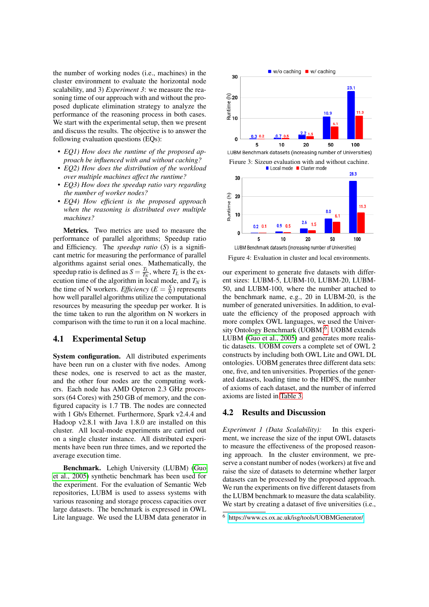the number of working nodes (i.e., machines) in the cluster environment to evaluate the horizontal node scalability, and 3) *Experiment 3*: we measure the reasoning time of our approach with and without the proposed duplicate elimination strategy to analyze the performance of the reasoning process in both cases. We start with the experimental setup, then we present and discuss the results. The objective is to answer the following evaluation questions (EQs):

- *EQ1) How does the runtime of the proposed approach be influenced with and without caching?*
- *EQ2) How does the distribution of the workload over multiple machines affect the runtime?*
- *EQ3) How does the speedup ratio vary regarding the number of worker nodes?*
- *EQ4) How efficient is the proposed approach when the reasoning is distributed over multiple machines?*

Metrics. Two metrics are used to measure the performance of parallel algorithms; Speedup ratio and Efficiency. The *speedup ratio* (*S*) is a significant metric for measuring the performance of parallel algorithms against serial ones. Mathematically, the speedup ratio is defined as  $S = \frac{T_L}{T_N}$ , where  $T_L$  is the execution time of the algorithm in local mode, and  $T_N$  is the time of N workers. *Efficiency* ( $E = \frac{S}{N}$ ) represents how well parallel algorithms utilize the computational resources by measuring the speedup per worker. It is the time taken to run the algorithm on N workers in comparison with the time to run it on a local machine.

#### 4.1 Experimental Setup

System configuration. All distributed experiments have been run on a cluster with five nodes. Among these nodes, one is reserved to act as the master, and the other four nodes are the computing workers. Each node has AMD Opteron 2.3 GHz processors (64 Cores) with 250 GB of memory, and the configured capacity is 1.7 TB. The nodes are connected with 1 Gb/s Ethernet. Furthermore, Spark v2.4.4 and Hadoop v2.8.1 with Java 1.8.0 are installed on this cluster. All local-mode experiments are carried out on a single cluster instance. All distributed experiments have been run three times, and we reported the average execution time.

Benchmark. Lehigh University (LUBM) [\(Guo](#page-9-13) [et al., 2005\)](#page-9-13) synthetic benchmark has been used for the experiment. For the evaluation of Semantic Web repositories, LUBM is used to assess systems with various reasoning and storage process capacities over large datasets. The benchmark is expressed in OWL Lite language. We used the LUBM data generator in

<span id="page-7-1"></span>

Figure 3: Sizeup evaluation with and without caching.<br>■ Local mode ■ Cluster mode



Figure 4: Evaluation in cluster and local environments.

our experiment to generate five datasets with different sizes: LUBM-5, LUBM-10, LUBM-20, LUBM-50, and LUBM-100, where the number attached to the benchmark name, e.g., 20 in LUBM-20, is the number of generated universities. In addition, to evaluate the efficiency of the proposed approach with more complex OWL languages, we used the Univer-sity Ontology Benchmark (UOBM)<sup>[6](#page-0-0)</sup>. UOBM extends LUBM [\(Guo et al., 2005\)](#page-9-13) and generates more realistic datasets. UOBM covers a complete set of OWL 2 constructs by including both OWL Lite and OWL DL ontologies. UOBM generates three different data sets: one, five, and ten universities. Properties of the generated datasets, loading time to the HDFS, the number of axioms of each dataset, and the number of inferred axioms are listed in [Table 3.](#page-8-0)

#### <span id="page-7-0"></span>4.2 Results and Discussion

*Experiment 1 (Data Scalability):* In this experiment, we increase the size of the input OWL datasets to measure the effectiveness of the proposed reasoning approach. In the cluster environment, we preserve a constant number of nodes (workers) at five and raise the size of datasets to determine whether larger datasets can be processed by the proposed approach. We run the experiments on five different datasets from the LUBM benchmark to measure the data scalability. We start by creating a dataset of five universities (i.e.,

<sup>6</sup> <https://www.cs.ox.ac.uk/isg/tools/UOBMGenerator/>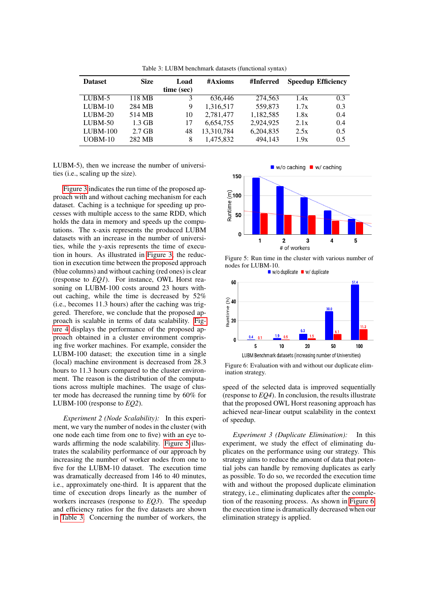<span id="page-8-0"></span>

| <b>Dataset</b> | <b>Size</b> | Load       | #Axioms    | #Inferred |      | <b>Speedup Efficiency</b> |
|----------------|-------------|------------|------------|-----------|------|---------------------------|
|                |             | time (sec) |            |           |      |                           |
| $LUBM-5$       | 118 MB      | 3          | 636,446    | 274,563   | 1.4x | 0.3                       |
| $LUBM-10$      | 284 MB      | 9          | 1,316,517  | 559.873   | 1.7x | 0.3                       |
| $LUBM-20$      | 514 MB      | 10         | 2.781.477  | 1,182,585 | 1.8x | 0.4                       |
| $LUBM-50$      | 1.3 GB      | 17         | 6,654,755  | 2,924,925 | 2.1x | 0.4                       |
| $LUBM-100$     | $2.7$ GB    | 48         | 13,310,784 | 6,204,835 | 2.5x | 0.5                       |
| $UOBM-10$      | 282 MB      | 8          | 1.475.832  | 494.143   | 1.9x | 0.5                       |
|                |             |            |            |           |      |                           |

Table 3: LUBM benchmark datasets (functional syntax)

LUBM-5), then we increase the number of universities (i.e., scaling up the size).

[Figure 3](#page-7-1) indicates the run time of the proposed approach with and without caching mechanism for each dataset. Caching is a technique for speeding up processes with multiple access to the same RDD, which holds the data in memory and speeds up the computations. The x-axis represents the produced LUBM datasets with an increase in the number of universities, while the y-axis represents the time of execution in hours. As illustrated in [Figure 3,](#page-7-1) the reduction in execution time between the proposed approach (blue columns) and without caching (red ones) is clear (response to *EQ1*). For instance, OWL Horst reasoning on LUBM-100 costs around 23 hours without caching, while the time is decreased by 52% (i.e., becomes 11.3 hours) after the caching was triggered. Therefore, we conclude that the proposed approach is scalable in terms of data scalability. [Fig](#page-7-1)[ure 4](#page-7-1) displays the performance of the proposed approach obtained in a cluster environment comprising five worker machines. For example, consider the LUBM-100 dataset; the execution time in a single (local) machine environment is decreased from 28.3 hours to 11.3 hours compared to the cluster environment. The reason is the distribution of the computations across multiple machines. The usage of cluster mode has decreased the running time by 60% for LUBM-100 (response to *EQ2*).

*Experiment 2 (Node Scalability):* In this experiment, we vary the number of nodes in the cluster (with one node each time from one to five) with an eye towards affirming the node scalability. [Figure 5](#page-8-1) illustrates the scalability performance of our approach by increasing the number of worker nodes from one to five for the LUBM-10 dataset. The execution time was dramatically decreased from 146 to 40 minutes, i.e., approximately one-third. It is apparent that the time of execution drops linearly as the number of workers increases (response to *EQ3*). The speedup and efficiency ratios for the five datasets are shown in [Table 3.](#page-8-0) Concerning the number of workers, the

<span id="page-8-1"></span>

Figure 5: Run time in the cluster with various number of nodes for LUBM-10.<br>■ w/o duplicate ■ w/ duplicate





Figure 6: Evaluation with and without our duplicate elimination strategy.

speed of the selected data is improved sequentially (response to *EQ4*). In conclusion, the results illustrate that the proposed OWL Horst reasoning approach has achieved near-linear output scalability in the context of speedup.

*Experiment 3 (Duplicate Elimination):* In this experiment, we study the effect of eliminating duplicates on the performance using our strategy. This strategy aims to reduce the amount of data that potential jobs can handle by removing duplicates as early as possible. To do so, we recorded the execution time with and without the proposed duplicate elimination strategy, i.e., eliminating duplicates after the completion of the reasoning process. As shown in [Figure 6,](#page-8-1) the execution time is dramatically decreased when our elimination strategy is applied.